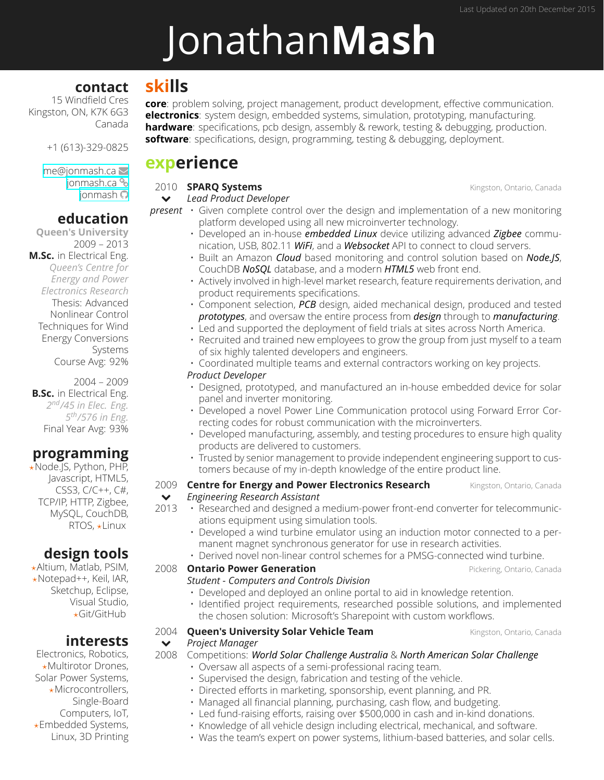# Jonathan**Mash**

## **contact**

15 Windfield Cres Kingston, ON, K7K 6G3 Canada

+1 (613)-329-0825

[me@jonmash.ca](mailto:me@jonmash.ca) **≥** [jonmash.ca](http://www.jonmash.ca) % [jonmash](https://github.com/jonmash) ?

## **education**

**Queen's University** 2009 – 2013 **M.Sc.** in Electrical Eng. *Queen's Centre for Energy and Power Electronics Research* Thesis: Advanced Nonlinear Control Techniques for Wind Energy Conversions Systems Course Avg: 92%

2004 – 2009 **B.Sc.** in Electrical Eng. *2 nd/45 in Elec. Eng. 5 th/576 in Eng.* Final Year Avg: 93%

# **programming**

⋆Node.JS, Python, PHP, Javascript, HTML5, CSS3, C/C++, C#, TCP/IP, HTTP, Zigbee, MySQL, CouchDB, **RTOS, ★Linux** 

# **design tools**

 $\star$ Altium, Matlab, PSIM, ⋆Notepad++, Keil, IAR, Sketchup, Eclipse, Visual Studio, ⋆Git/GitHub

# **interests**

Electronics, Robotics, ⋆Multirotor Drones, Solar Power Systems, ⋆Microcontrollers, Single-Board Computers, IoT, ⋆Embedded Systems, Linux, 3D Printing

# **skills**

**core**: problem solving, project management, product development, effective communication. **electronics**: system design, embedded systems, simulation, prototyping, manufacturing. **hardware**: specifications, pcb design, assembly & rework, testing & debugging, production. **software**: specifications, design, programming, testing & debugging, deployment.

# **experience**

### 2010 SPARQ Systems

#### $\checkmark$ *Lead Product Developer*

**SPARQ Systems** Kingston, Ontario, Canada

- *present* Given complete control over the design and implementation of a new monitoring platform developed using all new microinverter technology.
	- Developed an in-house *embedded Linux* device utilizing advanced *Zigbee* communication, USB, 802.11 *WiFi*, and a *Websocket* API to connect to cloud servers.
	- Built an Amazon *Cloud* based monitoring and control solution based on *Node.JS*, CouchDB *NoSQL* database, and a modern *HTML5* web front end.
	- Actively involved in high-level market research, feature requirements derivation, and product requirements specifications.
	- Component selection, *PCB* design, aided mechanical design, produced and tested *prototypes*, and oversaw the entire process from *design* through to *manufacturing*.
	- Led and supported the deployment of field trials at sites across North America.
	- Recruited and trained new employees to grow the group from just myself to a team of six highly talented developers and engineers.
	- Coordinated multiple teams and external contractors working on key projects.

### *Product Developer*

- Designed, prototyped, and manufactured an in-house embedded device for solar panel and inverter monitoring.
- Developed a novel Power Line Communication protocol using Forward Error Correcting codes for robust communication with the microinverters.
- Developed manufacturing, assembly, and testing procedures to ensure high quality products are delivered to customers.
- Trusted by senior management to provide independent engineering support to customers because of my in-depth knowledge of the entire product line.
- 2009 **Centre for Energy and Power Electronics Research** Kingston, Ontario, Canada  $\bullet$ *Engineering Research Assistant*
- 2013 Researched and designed a medium-power front-end converter for telecommunications equipment using simulation tools.
	- Developed a wind turbine emulator using an induction motor connected to a permanent magnet synchronous generator for use in research activities.
	- Derived novel non-linear control schemes for a PMSG-connected wind turbine.

### 2008 **Ontario Power Generation Propertion Pickering, Ontario, Canada**

- *Student Computers and Controls Division*
- Developed and deployed an online portal to aid in knowledge retention.
- Identified project requirements, researched possible solutions, and implemented the chosen solution: Microsoft's Sharepoint with custom workflows.

### **2004 Queen's University Solar Vehicle Team Kanada Baratica Contario, Canada**

#### $\checkmark$ *Project Manager*

2008 Competitions: *World Solar Challenge Australia* & *North American Solar Challenge*

- Oversaw all aspects of a semi-professional racing team.
- Supervised the design, fabrication and testing of the vehicle.
- Directed efforts in marketing, sponsorship, event planning, and PR.
- Managed all financial planning, purchasing, cash flow, and budgeting.
- Led fund-raising efforts, raising over \$500,000 in cash and in-kind donations.
- Knowledge of all vehicle design including electrical, mechanical, and software.
- Was the team's expert on power systems, lithium-based batteries, and solar cells.